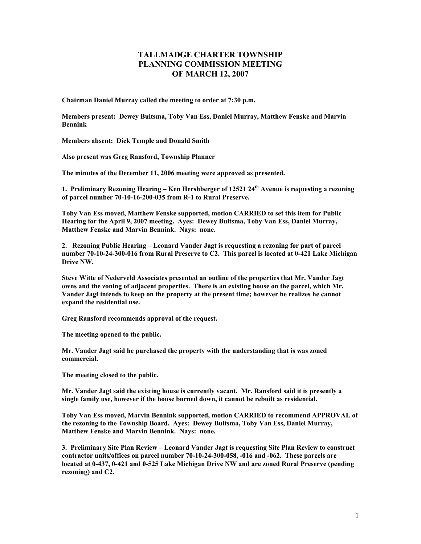## **TALLMADGE CHARTER TOWNSHIP PLANNING COMMISSION MEETING OF MARCH 12, 2007**

**Chairman Daniel Murray called the meeting to order at 7:30 p.m.** 

**Members present: Dewey Bultsma, Toby Van Ess, Daniel Murray, Matthew Fenske and Marvin Bennink** 

**Members absent: Dick Temple and Donald Smith** 

**Also present was Greg Ransford, Township Planner** 

**The minutes of the December 11, 2006 meeting were approved as presented.** 

**1. Preliminary Rezoning Hearing – Ken Hershberger of 12521 24th Avenue is requesting a rezoning of parcel number 70-10-16-200-035 from R-1 to Rural Preserve.** 

**Toby Van Ess moved, Matthew Fenske supported, motion CARRIED to set this item for Public Hearing for the April 9, 2007 meeting. Ayes: Dewey Bultsma, Toby Van Ess, Daniel Murray, Matthew Fenske and Marvin Bennink. Nays: none.** 

**2. Rezoning Public Hearing – Leonard Vander Jagt is requesting a rezoning for part of parcel number 70-10-24-300-016 from Rural Preserve to C2. This parcel is located at 0-421 Lake Michigan Drive NW.** 

**Steve Witte of Nederveld Associates presented an outline of the properties that Mr. Vander Jagt owns and the zoning of adjacent properties. There is an existing house on the parcel, which Mr. Vander Jagt intends to keep on the property at the present time; however he realizes he cannot expand the residential use.** 

**Greg Ransford recommends approval of the request.** 

**The meeting opened to the public.** 

**Mr. Vander Jagt said he purchased the property with the understanding that is was zoned commercial.** 

**The meeting closed to the public.** 

**Mr. Vander Jagt said the existing house is currently vacant. Mr. Ransford said it is presently a single family use, however if the house burned down, it cannot be rebuilt as residential.** 

**Toby Van Ess moved, Marvin Bennink supported, motion CARRIED to recommend APPROVAL of the rezoning to the Township Board. Ayes: Dewey Bultsma, Toby Van Ess, Daniel Murray, Matthew Fenske and Marvin Bennink. Nays: none.** 

**3. Preliminary Site Plan Review – Leonard Vander Jagt is requesting Site Plan Review to construct contractor units/offices on parcel number 70-10-24-300-058, -016 and -062. These parcels are located at 0-437, 0-421 and 0-525 Lake Michigan Drive NW and are zoned Rural Preserve (pending rezoning) and C2.**